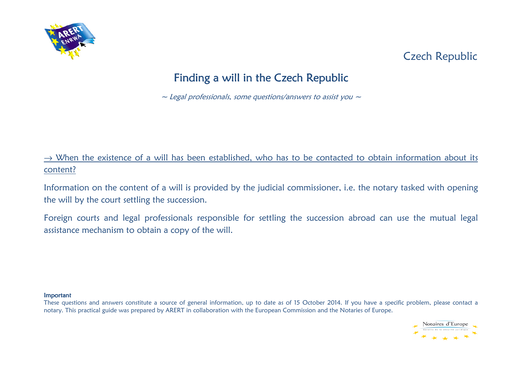

## Czech Republic

# Finding a will in the Czech Republic

 $\sim$  Legal professionals, some questions/answers to assist you  $\sim$ 

 $\rightarrow$  When the existence of a will has been established, who has to be contacted to obtain information about its content?

Information on the content of a will is provided by the judicial commissioner, i.e. the notary tasked with opening the will by the court settling the succession.

Foreign courts and legal professionals responsible for settling the succession abroad can use the mutual legal assistance mechanism to obtain a copy of the will.

#### Important

 These questions and answers constitute a source of general information, up to date as of 15 October 2014. If you have a specific problem, please contact a notary. This practical guide was prepared by ARERT in collaboration with the European Commission and the Notaries of Europe.